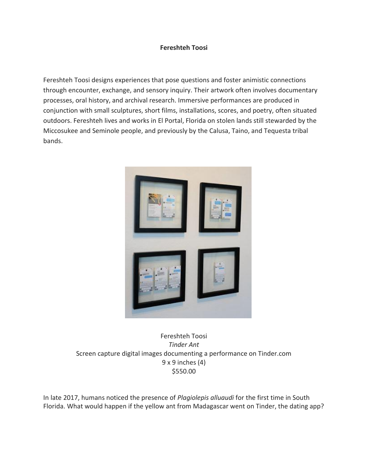## **Fereshteh Toosi**

Fereshteh Toosi designs experiences that pose questions and foster animistic connections through encounter, exchange, and sensory inquiry. Their artwork often involves documentary processes, oral history, and archival research. Immersive performances are produced in conjunction with small sculptures, short films, installations, scores, and poetry, often situated outdoors. Fereshteh lives and works in El Portal, Florida on stolen lands still stewarded by the Miccosukee and Seminole people, and previously by the Calusa, Taino, and Tequesta tribal bands.



Fereshteh Toosi *Tinder Ant* Screen capture digital images documenting a performance on Tinder.com 9 x 9 inches (4) \$550.00

In late 2017, humans noticed the presence of *Plagiolepis alluaudi* for the first time in South Florida. What would happen if the yellow ant from Madagascar went on Tinder, the dating app?